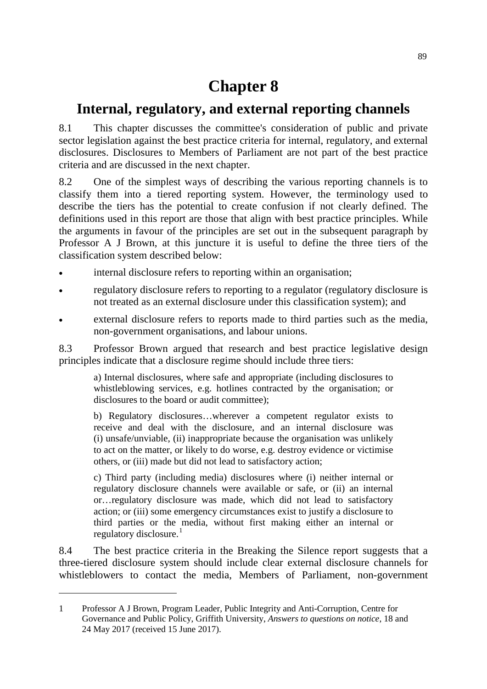# **Chapter 8**

## **Internal, regulatory, and external reporting channels**

8.1 This chapter discusses the committee's consideration of public and private sector legislation against the best practice criteria for internal, regulatory, and external disclosures. Disclosures to Members of Parliament are not part of the best practice criteria and are discussed in the next chapter.

8.2 One of the simplest ways of describing the various reporting channels is to classify them into a tiered reporting system. However, the terminology used to describe the tiers has the potential to create confusion if not clearly defined. The definitions used in this report are those that align with best practice principles. While the arguments in favour of the principles are set out in the subsequent paragraph by Professor A J Brown, at this juncture it is useful to define the three tiers of the classification system described below:

- internal disclosure refers to reporting within an organisation;
- regulatory disclosure refers to reporting to a regulator (regulatory disclosure is not treated as an external disclosure under this classification system); and
- external disclosure refers to reports made to third parties such as the media, non-government organisations, and labour unions.

8.3 Professor Brown argued that research and best practice legislative design principles indicate that a disclosure regime should include three tiers:

a) Internal disclosures, where safe and appropriate (including disclosures to whistleblowing services, e.g. hotlines contracted by the organisation; or disclosures to the board or audit committee);

b) Regulatory disclosures…wherever a competent regulator exists to receive and deal with the disclosure, and an internal disclosure was (i) unsafe/unviable, (ii) inappropriate because the organisation was unlikely to act on the matter, or likely to do worse, e.g. destroy evidence or victimise others, or (iii) made but did not lead to satisfactory action;

c) Third party (including media) disclosures where (i) neither internal or regulatory disclosure channels were available or safe, or (ii) an internal or…regulatory disclosure was made, which did not lead to satisfactory action; or (iii) some emergency circumstances exist to justify a disclosure to third parties or the media, without first making either an internal or regulatory disclosure. $<sup>1</sup>$  $<sup>1</sup>$  $<sup>1</sup>$ </sup>

8.4 The best practice criteria in the Breaking the Silence report suggests that a three-tiered disclosure system should include clear external disclosure channels for whistleblowers to contact the media, Members of Parliament, non-government

<span id="page-0-0"></span><sup>1</sup> Professor A J Brown, Program Leader, Public Integrity and Anti-Corruption, Centre for Governance and Public Policy, Griffith University, *Answers to questions on notice*, 18 and 24 May 2017 (received 15 June 2017).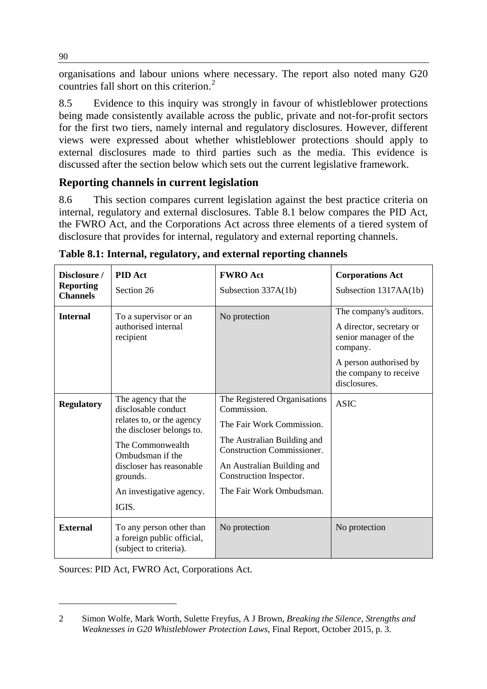organisations and labour unions where necessary. The report also noted many G20 countries fall short on this criterion.<sup>[2](#page-1-0)</sup>

8.5 Evidence to this inquiry was strongly in favour of whistleblower protections being made consistently available across the public, private and not-for-profit sectors for the first two tiers, namely internal and regulatory disclosures. However, different views were expressed about whether whistleblower protections should apply to external disclosures made to third parties such as the media. This evidence is discussed after the section below which sets out the current legislative framework.

#### **Reporting channels in current legislation**

8.6 This section compares current legislation against the best practice criteria on internal, regulatory and external disclosures. Table 8.1 below compares the PID Act, the FWRO Act, and the Corporations Act across three elements of a tiered system of disclosure that provides for internal, regulatory and external reporting channels.

| Disclosure /<br><b>Reporting</b><br><b>Channels</b> | <b>PID</b> Act<br>Section 26                                                                                                                                                                                              | <b>FWRO</b> Act<br>Subsection 337A(1b)                                                                                                                                                                                            | <b>Corporations Act</b><br>Subsection 1317AA(1b)                                                                                                             |
|-----------------------------------------------------|---------------------------------------------------------------------------------------------------------------------------------------------------------------------------------------------------------------------------|-----------------------------------------------------------------------------------------------------------------------------------------------------------------------------------------------------------------------------------|--------------------------------------------------------------------------------------------------------------------------------------------------------------|
| <b>Internal</b>                                     | To a supervisor or an<br>authorised internal<br>recipient                                                                                                                                                                 | No protection                                                                                                                                                                                                                     | The company's auditors.<br>A director, secretary or<br>senior manager of the<br>company.<br>A person authorised by<br>the company to receive<br>disclosures. |
| <b>Regulatory</b>                                   | The agency that the<br>disclosable conduct<br>relates to, or the agency<br>the discloser belongs to.<br>The Commonwealth<br>Ombudsman if the<br>discloser has reasonable<br>grounds.<br>An investigative agency.<br>IGIS. | The Registered Organisations<br>Commission.<br>The Fair Work Commission.<br>The Australian Building and<br><b>Construction Commissioner.</b><br>An Australian Building and<br>Construction Inspector.<br>The Fair Work Ombudsman. | <b>ASIC</b>                                                                                                                                                  |
| <b>External</b>                                     | To any person other than<br>a foreign public official,<br>(subject to criteria).                                                                                                                                          | No protection                                                                                                                                                                                                                     | No protection                                                                                                                                                |

**Table 8.1: Internal, regulatory, and external reporting channels**

Sources: PID Act, FWRO Act, Corporations Act.

-

90

<span id="page-1-0"></span><sup>2</sup> Simon Wolfe, Mark Worth, Sulette Freyfus, A J Brown, *Breaking the Silence, Strengths and Weaknesses in G20 Whistleblower Protection Laws*, Final Report, October 2015, p. 3.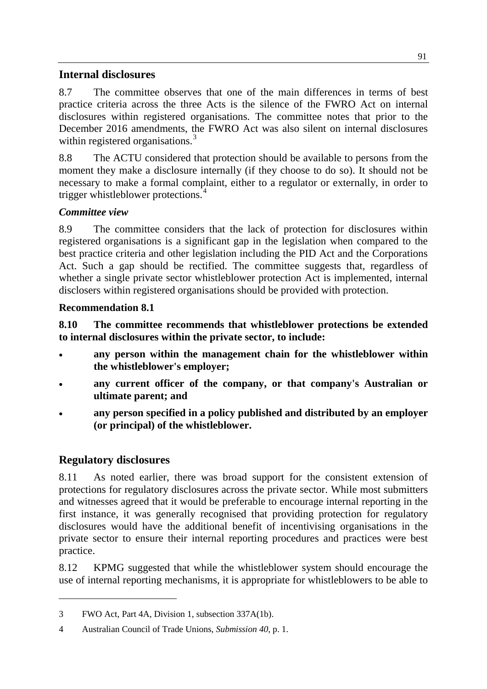#### **Internal disclosures**

8.7 The committee observes that one of the main differences in terms of best practice criteria across the three Acts is the silence of the FWRO Act on internal disclosures within registered organisations. The committee notes that prior to the December 2016 amendments, the FWRO Act was also silent on internal disclosures within registered organisations.<sup>[3](#page-2-0)</sup>

8.8 The ACTU considered that protection should be available to persons from the moment they make a disclosure internally (if they choose to do so). It should not be necessary to make a formal complaint, either to a regulator or externally, in order to trigger whistleblower protections.<sup>[4](#page-2-1)</sup>

#### *Committee view*

8.9 The committee considers that the lack of protection for disclosures within registered organisations is a significant gap in the legislation when compared to the best practice criteria and other legislation including the PID Act and the Corporations Act. Such a gap should be rectified. The committee suggests that, regardless of whether a single private sector whistleblower protection Act is implemented, internal disclosers within registered organisations should be provided with protection.

#### **Recommendation 8.1**

**8.10 The committee recommends that whistleblower protections be extended to internal disclosures within the private sector, to include:**

- **any person within the management chain for the whistleblower within the whistleblower's employer;**
- **any current officer of the company, or that company's Australian or ultimate parent; and**
- **any person specified in a policy published and distributed by an employer (or principal) of the whistleblower.**

### **Regulatory disclosures**

-

8.11 As noted earlier, there was broad support for the consistent extension of protections for regulatory disclosures across the private sector. While most submitters and witnesses agreed that it would be preferable to encourage internal reporting in the first instance, it was generally recognised that providing protection for regulatory disclosures would have the additional benefit of incentivising organisations in the private sector to ensure their internal reporting procedures and practices were best practice.

8.12 KPMG suggested that while the whistleblower system should encourage the use of internal reporting mechanisms, it is appropriate for whistleblowers to be able to

<span id="page-2-0"></span><sup>3</sup> FWO Act, Part 4A, Division 1, subsection 337A(1b).

<span id="page-2-1"></span><sup>4</sup> Australian Council of Trade Unions, *Submission 40*, p. 1.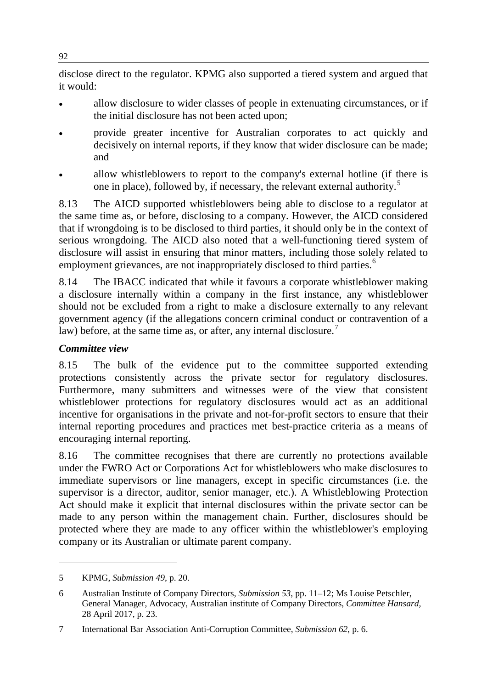disclose direct to the regulator. KPMG also supported a tiered system and argued that it would:

- allow disclosure to wider classes of people in extenuating circumstances, or if the initial disclosure has not been acted upon;
- provide greater incentive for Australian corporates to act quickly and decisively on internal reports, if they know that wider disclosure can be made; and
- allow whistleblowers to report to the company's external hotline (if there is one in place), followed by, if necessary, the relevant external authority.<sup>[5](#page-3-0)</sup>

8.13 The AICD supported whistleblowers being able to disclose to a regulator at the same time as, or before, disclosing to a company. However, the AICD considered that if wrongdoing is to be disclosed to third parties, it should only be in the context of serious wrongdoing. The AICD also noted that a well-functioning tiered system of disclosure will assist in ensuring that minor matters, including those solely related to employment grievances, are not inappropriately disclosed to third parties.<sup>[6](#page-3-1)</sup>

8.14 The IBACC indicated that while it favours a corporate whistleblower making a disclosure internally within a company in the first instance, any whistleblower should not be excluded from a right to make a disclosure externally to any relevant government agency (if the allegations concern criminal conduct or contravention of a law) before, at the same time as, or after, any internal disclosure.<sup>[7](#page-3-2)</sup>

#### *Committee view*

8.15 The bulk of the evidence put to the committee supported extending protections consistently across the private sector for regulatory disclosures. Furthermore, many submitters and witnesses were of the view that consistent whistleblower protections for regulatory disclosures would act as an additional incentive for organisations in the private and not-for-profit sectors to ensure that their internal reporting procedures and practices met best-practice criteria as a means of encouraging internal reporting.

8.16 The committee recognises that there are currently no protections available under the FWRO Act or Corporations Act for whistleblowers who make disclosures to immediate supervisors or line managers, except in specific circumstances (i.e. the supervisor is a director, auditor, senior manager, etc.). A Whistleblowing Protection Act should make it explicit that internal disclosures within the private sector can be made to any person within the management chain. Further, disclosures should be protected where they are made to any officer within the whistleblower's employing company or its Australian or ultimate parent company.

<span id="page-3-0"></span><sup>5</sup> KPMG, *Submission 49*, p. 20.

<span id="page-3-1"></span><sup>6</sup> Australian Institute of Company Directors, *Submission 53*, pp. 11–12; Ms Louise Petschler, General Manager, Advocacy, Australian institute of Company Directors, *Committee Hansard,*  28 April 2017, p. 23.

<span id="page-3-2"></span><sup>7</sup> International Bar Association Anti-Corruption Committee, *Submission 62*, p. 6.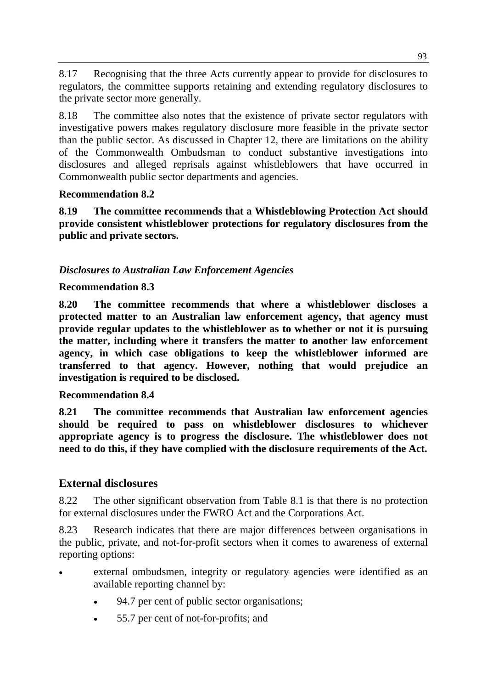8.17 Recognising that the three Acts currently appear to provide for disclosures to regulators, the committee supports retaining and extending regulatory disclosures to the private sector more generally.

8.18 The committee also notes that the existence of private sector regulators with investigative powers makes regulatory disclosure more feasible in the private sector than the public sector. As discussed in Chapter 12, there are limitations on the ability of the Commonwealth Ombudsman to conduct substantive investigations into disclosures and alleged reprisals against whistleblowers that have occurred in Commonwealth public sector departments and agencies.

#### **Recommendation 8.2**

**8.19 The committee recommends that a Whistleblowing Protection Act should provide consistent whistleblower protections for regulatory disclosures from the public and private sectors.**

#### *Disclosures to Australian Law Enforcement Agencies*

#### **Recommendation 8.3**

**8.20 The committee recommends that where a whistleblower discloses a protected matter to an Australian law enforcement agency, that agency must provide regular updates to the whistleblower as to whether or not it is pursuing the matter, including where it transfers the matter to another law enforcement agency, in which case obligations to keep the whistleblower informed are transferred to that agency. However, nothing that would prejudice an investigation is required to be disclosed.**

#### **Recommendation 8.4**

**8.21 The committee recommends that Australian law enforcement agencies should be required to pass on whistleblower disclosures to whichever appropriate agency is to progress the disclosure. The whistleblower does not need to do this, if they have complied with the disclosure requirements of the Act.**

#### **External disclosures**

8.22 The other significant observation from Table 8.1 is that there is no protection for external disclosures under the FWRO Act and the Corporations Act.

8.23 Research indicates that there are major differences between organisations in the public, private, and not-for-profit sectors when it comes to awareness of external reporting options:

- external ombudsmen, integrity or regulatory agencies were identified as an available reporting channel by:
	- 94.7 per cent of public sector organisations;
	- 55.7 per cent of not-for-profits; and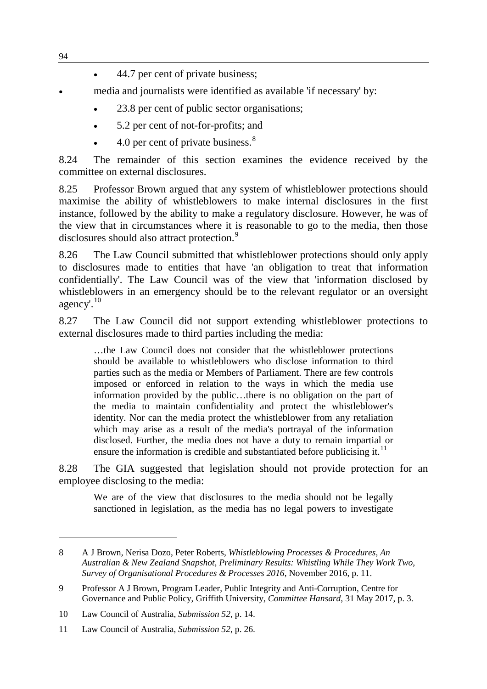- 44.7 per cent of private business;
- media and journalists were identified as available 'if necessary' by:
	- 23.8 per cent of public sector organisations;
	- 5.2 per cent of not-for-profits; and
	- 4.0 per cent of private business. $8$

8.24 The remainder of this section examines the evidence received by the committee on external disclosures.

8.25 Professor Brown argued that any system of whistleblower protections should maximise the ability of whistleblowers to make internal disclosures in the first instance, followed by the ability to make a regulatory disclosure. However, he was of the view that in circumstances where it is reasonable to go to the media, then those disclosures should also attract protection.<sup>[9](#page-5-1)</sup>

8.26 The Law Council submitted that whistleblower protections should only apply to disclosures made to entities that have 'an obligation to treat that information confidentially'. The Law Council was of the view that 'information disclosed by whistleblowers in an emergency should be to the relevant regulator or an oversight agency'.[10](#page-5-2)

8.27 The Law Council did not support extending whistleblower protections to external disclosures made to third parties including the media:

…the Law Council does not consider that the whistleblower protections should be available to whistleblowers who disclose information to third parties such as the media or Members of Parliament. There are few controls imposed or enforced in relation to the ways in which the media use information provided by the public…there is no obligation on the part of the media to maintain confidentiality and protect the whistleblower's identity. Nor can the media protect the whistleblower from any retaliation which may arise as a result of the media's portrayal of the information disclosed. Further, the media does not have a duty to remain impartial or ensure the information is credible and substantiated before publicising it.<sup>[11](#page-5-3)</sup>

8.28 The GIA suggested that legislation should not provide protection for an employee disclosing to the media:

We are of the view that disclosures to the media should not be legally sanctioned in legislation, as the media has no legal powers to investigate

<span id="page-5-0"></span><sup>8</sup> A J Brown, Nerisa Dozo, Peter Roberts, *Whistleblowing Processes & Procedures, An Australian & New Zealand Snapshot, Preliminary Results: Whistling While They Work Two, Survey of Organisational Procedures & Processes 2016*, November 2016, p. 11.

<span id="page-5-1"></span><sup>9</sup> Professor A J Brown, Program Leader, Public Integrity and Anti-Corruption, Centre for Governance and Public Policy, Griffith University, *Committee Hansard*, 31 May 2017, p. 3.

<span id="page-5-2"></span><sup>10</sup> Law Council of Australia, *Submission 52*, p. 14.

<span id="page-5-3"></span><sup>11</sup> Law Council of Australia, *Submission 52*, p. 26.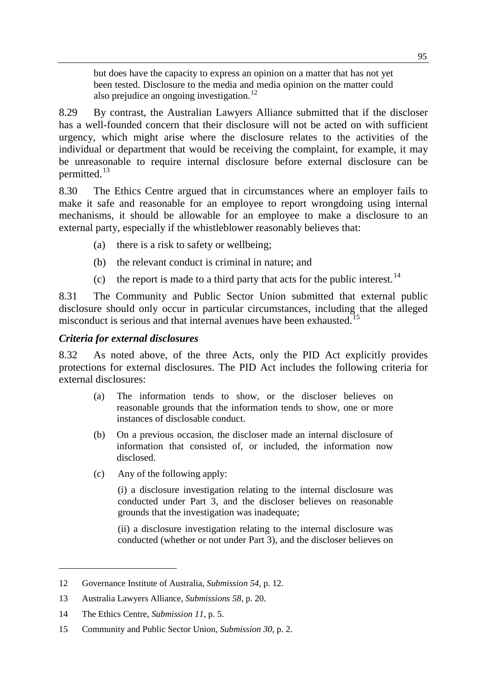but does have the capacity to express an opinion on a matter that has not yet been tested. Disclosure to the media and media opinion on the matter could also prejudice an ongoing investigation.<sup>[12](#page-6-0)</sup>

8.29 By contrast, the Australian Lawyers Alliance submitted that if the discloser has a well-founded concern that their disclosure will not be acted on with sufficient urgency, which might arise where the disclosure relates to the activities of the individual or department that would be receiving the complaint, for example, it may be unreasonable to require internal disclosure before external disclosure can be permitted.<sup>[13](#page-6-1)</sup>

8.30 The Ethics Centre argued that in circumstances where an employer fails to make it safe and reasonable for an employee to report wrongdoing using internal mechanisms, it should be allowable for an employee to make a disclosure to an external party, especially if the whistleblower reasonably believes that:

- (a) there is a risk to safety or wellbeing;
- (b) the relevant conduct is criminal in nature; and
- (c) the report is made to a third party that acts for the public interest.<sup>[14](#page-6-2)</sup>

8.31 The Community and Public Sector Union submitted that external public disclosure should only occur in particular circumstances, including that the alleged misconduct is serious and that internal avenues have been exhausted.<sup>[15](#page-6-3)</sup>

#### *Criteria for external disclosures*

8.32 As noted above, of the three Acts, only the PID Act explicitly provides protections for external disclosures. The PID Act includes the following criteria for external disclosures:

- (a) The information tends to show, or the discloser believes on reasonable grounds that the information tends to show, one or more instances of disclosable conduct.
- (b) On a previous occasion, the discloser made an internal disclosure of information that consisted of, or included, the information now disclosed.
- (c) Any of the following apply:

(i) a disclosure investigation relating to the internal disclosure was conducted under Part 3, and the discloser believes on reasonable grounds that the investigation was inadequate;

(ii) a disclosure investigation relating to the internal disclosure was conducted (whether or not under Part 3), and the discloser believes on

<span id="page-6-0"></span><sup>12</sup> Governance Institute of Australia, *Submission 54*, p. 12.

<span id="page-6-1"></span><sup>13</sup> Australia Lawyers Alliance, *Submissions 58*, p. 20.

<span id="page-6-2"></span><sup>14</sup> The Ethics Centre, *Submission 11*, p. 5.

<span id="page-6-3"></span><sup>15</sup> Community and Public Sector Union, *Submission 30*, p. 2.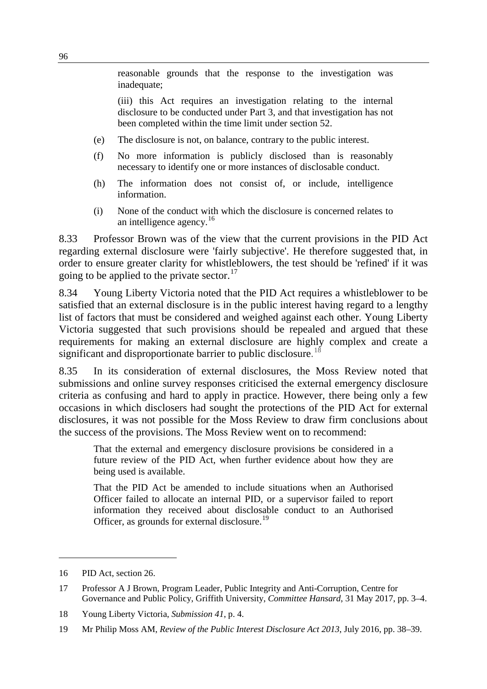reasonable grounds that the response to the investigation was inadequate;

(iii) this Act requires an investigation relating to the internal disclosure to be conducted under Part 3, and that investigation has not been completed within the time limit under section 52.

- (e) The disclosure is not, on balance, contrary to the public interest.
- (f) No more information is publicly disclosed than is reasonably necessary to identify one or more instances of disclosable conduct.
- (h) The information does not consist of, or include, intelligence information.
- (i) None of the conduct with which the disclosure is concerned relates to an intelligence agency.<sup>[16](#page-7-0)</sup>

8.33 Professor Brown was of the view that the current provisions in the PID Act regarding external disclosure were 'fairly subjective'. He therefore suggested that, in order to ensure greater clarity for whistleblowers, the test should be 'refined' if it was going to be applied to the private sector. $17$ 

8.34 Young Liberty Victoria noted that the PID Act requires a whistleblower to be satisfied that an external disclosure is in the public interest having regard to a lengthy list of factors that must be considered and weighed against each other. Young Liberty Victoria suggested that such provisions should be repealed and argued that these requirements for making an external disclosure are highly complex and create a significant and disproportionate barrier to public disclosure.<sup>[18](#page-7-2)</sup>

8.35 In its consideration of external disclosures, the Moss Review noted that submissions and online survey responses criticised the external emergency disclosure criteria as confusing and hard to apply in practice. However, there being only a few occasions in which disclosers had sought the protections of the PID Act for external disclosures, it was not possible for the Moss Review to draw firm conclusions about the success of the provisions. The Moss Review went on to recommend:

That the external and emergency disclosure provisions be considered in a future review of the PID Act, when further evidence about how they are being used is available.

That the PID Act be amended to include situations when an Authorised Officer failed to allocate an internal PID, or a supervisor failed to report information they received about disclosable conduct to an Authorised Officer, as grounds for external disclosure.<sup>[19](#page-7-3)</sup>

<span id="page-7-0"></span><sup>16</sup> PID Act, section 26.

<span id="page-7-1"></span><sup>17</sup> Professor A J Brown, Program Leader, Public Integrity and Anti-Corruption, Centre for Governance and Public Policy, Griffith University, *Committee Hansard*, 31 May 2017, pp. 3–4.

<span id="page-7-2"></span><sup>18</sup> Young Liberty Victoria, *Submission 41*, p. 4.

<span id="page-7-3"></span><sup>19</sup> Mr Philip Moss AM, *Review of the Public Interest Disclosure Act 2013*, July 2016, pp. 38–39.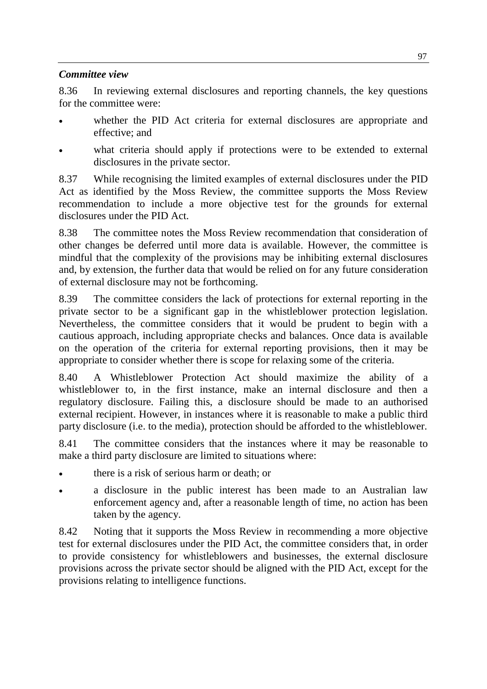#### *Committee view*

8.36 In reviewing external disclosures and reporting channels, the key questions for the committee were:

- whether the PID Act criteria for external disclosures are appropriate and effective; and
- what criteria should apply if protections were to be extended to external disclosures in the private sector.

8.37 While recognising the limited examples of external disclosures under the PID Act as identified by the Moss Review, the committee supports the Moss Review recommendation to include a more objective test for the grounds for external disclosures under the PID Act.

8.38 The committee notes the Moss Review recommendation that consideration of other changes be deferred until more data is available. However, the committee is mindful that the complexity of the provisions may be inhibiting external disclosures and, by extension, the further data that would be relied on for any future consideration of external disclosure may not be forthcoming.

8.39 The committee considers the lack of protections for external reporting in the private sector to be a significant gap in the whistleblower protection legislation. Nevertheless, the committee considers that it would be prudent to begin with a cautious approach, including appropriate checks and balances. Once data is available on the operation of the criteria for external reporting provisions, then it may be appropriate to consider whether there is scope for relaxing some of the criteria.

8.40 A Whistleblower Protection Act should maximize the ability of a whistleblower to, in the first instance, make an internal disclosure and then a regulatory disclosure. Failing this, a disclosure should be made to an authorised external recipient. However, in instances where it is reasonable to make a public third party disclosure (i.e. to the media), protection should be afforded to the whistleblower.

8.41 The committee considers that the instances where it may be reasonable to make a third party disclosure are limited to situations where:

- there is a risk of serious harm or death; or
- a disclosure in the public interest has been made to an Australian law enforcement agency and, after a reasonable length of time, no action has been taken by the agency.

8.42 Noting that it supports the Moss Review in recommending a more objective test for external disclosures under the PID Act, the committee considers that, in order to provide consistency for whistleblowers and businesses, the external disclosure provisions across the private sector should be aligned with the PID Act, except for the provisions relating to intelligence functions.